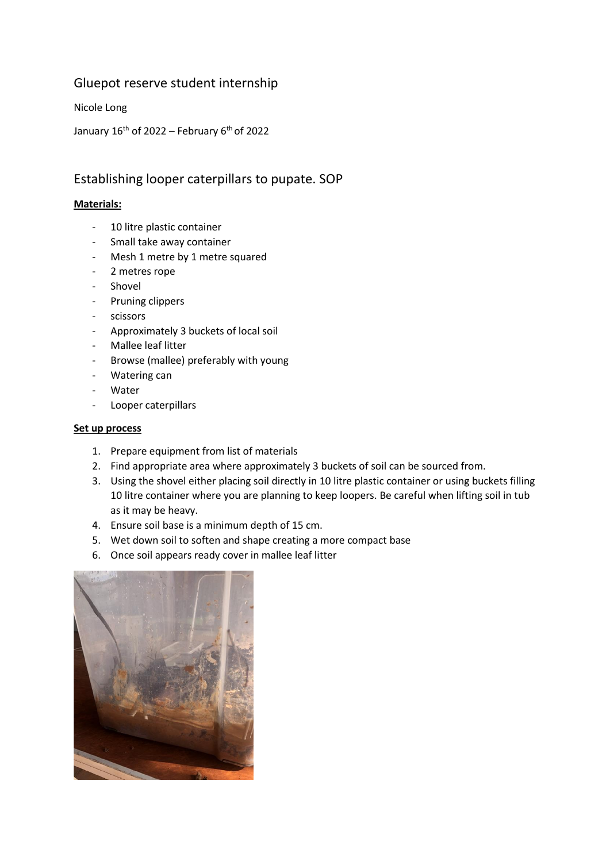## Gluepot reserve student internship

Nicole Long

January  $16^{th}$  of 2022 – February  $6^{th}$  of 2022

# Establishing looper caterpillars to pupate. SOP

## **Materials:**

- 10 litre plastic container
- Small take away container
- Mesh 1 metre by 1 metre squared
- 2 metres rope
- Shovel
- Pruning clippers
- scissors
- Approximately 3 buckets of local soil
- Mallee leaf litter
- Browse (mallee) preferably with young
- Watering can
- **Water**
- Looper caterpillars

#### **Set up process**

- 1. Prepare equipment from list of materials
- 2. Find appropriate area where approximately 3 buckets of soil can be sourced from.
- 3. Using the shovel either placing soil directly in 10 litre plastic container or using buckets filling 10 litre container where you are planning to keep loopers. Be careful when lifting soil in tub as it may be heavy.
- 4. Ensure soil base is a minimum depth of 15 cm.
- 5. Wet down soil to soften and shape creating a more compact base
- 6. Once soil appears ready cover in mallee leaf litter

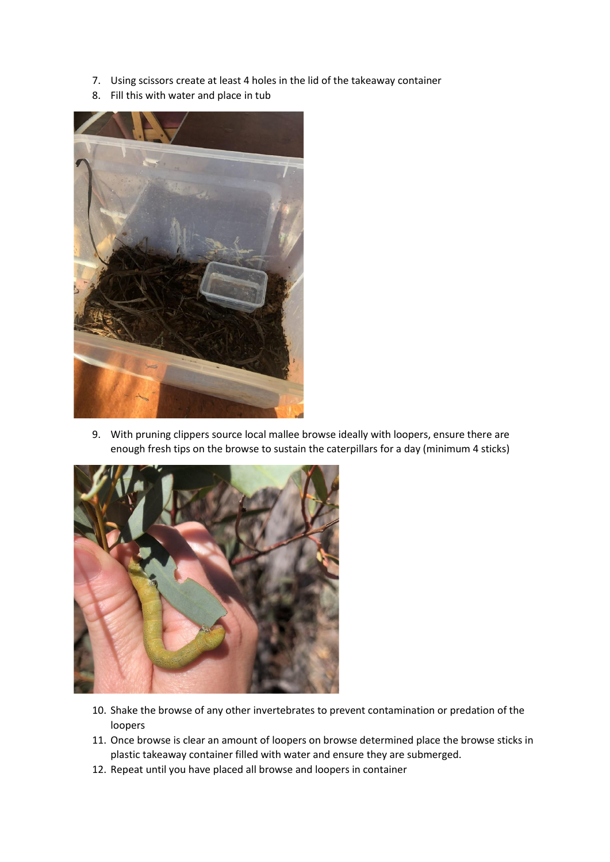- 7. Using scissors create at least 4 holes in the lid of the takeaway container
- 8. Fill this with water and place in tub



9. With pruning clippers source local mallee browse ideally with loopers, ensure there are enough fresh tips on the browse to sustain the caterpillars for a day (minimum 4 sticks)



- 10. Shake the browse of any other invertebrates to prevent contamination or predation of the loopers
- 11. Once browse is clear an amount of loopers on browse determined place the browse sticks in plastic takeaway container filled with water and ensure they are submerged.
- 12. Repeat until you have placed all browse and loopers in container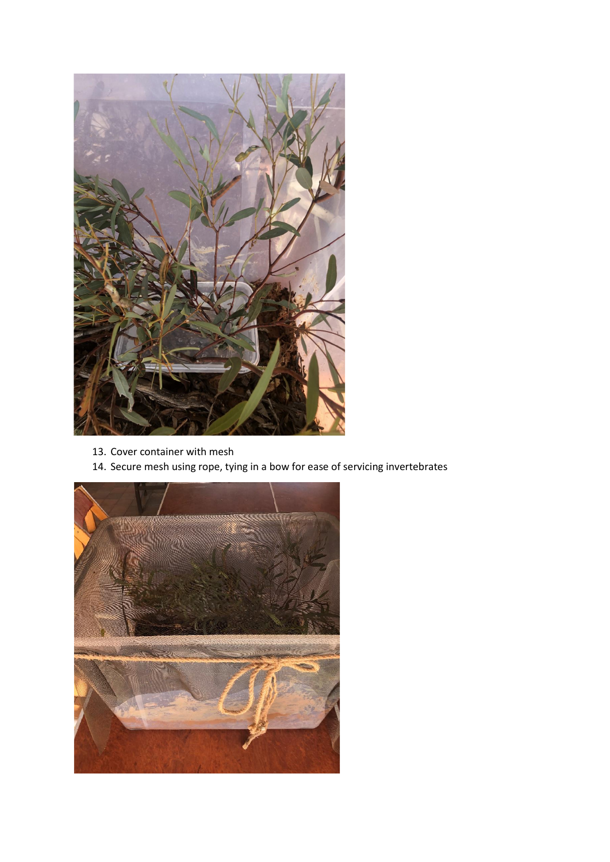

- 13. Cover container with mesh
- 14. Secure mesh using rope, tying in a bow for ease of servicing invertebrates

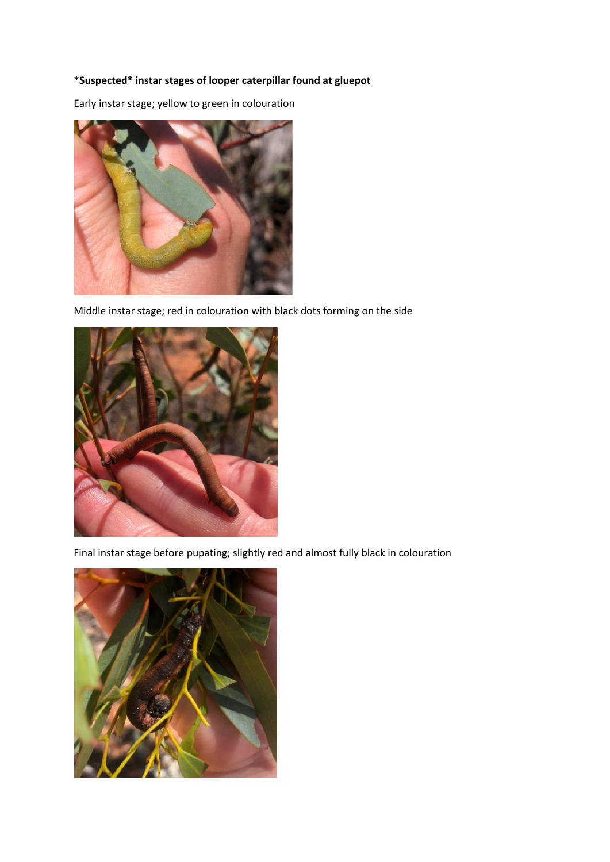## **\*Suspected\* instar stages of looper caterpillar found at gluepot**

Early instar stage; yellow to green in colouration



Middle instar stage; red in colouration with black dots forming on the side



Final instar stage before pupating; slightly red and almost fully black in colouration